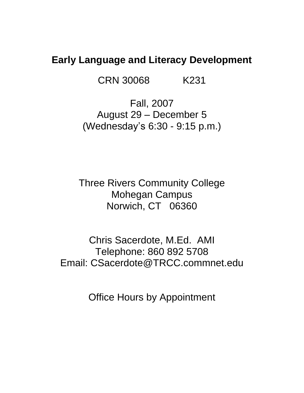# **Early Language and Literacy Development**

CRN 30068 K231

Fall, 2007 August 29 – December 5 (Wednesday's 6:30 - 9:15 p.m.)

Three Rivers Community College Mohegan Campus Norwich, CT 06360

Chris Sacerdote, M.Ed. AMI Telephone: 860 892 5708 Email: CSacerdote@TRCC.commnet.edu

Office Hours by Appointment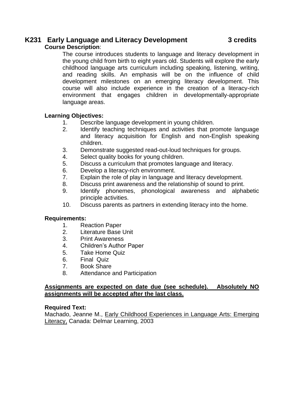# **K231 Early Language and Literacy Development 3 credits Course Description**:

The course introduces students to language and literacy development in the young child from birth to eight years old. Students will explore the early childhood language arts curriculum including speaking, listening, writing, and reading skills. An emphasis will be on the influence of child development milestones on an emerging literacy development. This course will also include experience in the creation of a literacy-rich environment that engages children in developmentally-appropriate language areas.

## **Learning Objectives:**

- 1. Describe language development in young children.
- 2. Identify teaching techniques and activities that promote language and literacy acquisition for English and non-English speaking children.
- 3. Demonstrate suggested read-out-loud techniques for groups.
- 4. Select quality books for young children.
- 5. Discuss a curriculum that promotes language and literacy.
- 6. Develop a literacy-rich environment.
- 7. Explain the role of play in language and literacy development.
- 8. Discuss print awareness and the relationship of sound to print.
- 9. Identify phonemes, phonological awareness and alphabetic principle activities.
- 10. Discuss parents as partners in extending literacy into the home.

## **Requirements:**

- 1. Reaction Paper
- 2. Literature Base Unit
- 3. Print Awareness
- 4. Children's Author Paper
- 5. Take Home Quiz
- 6. Final Quiz
- 7. Book Share
- 8. Attendance and Participation

#### **Assignments are expected on date due (see schedule). Absolutely NO assignments will be accepted after the last class.**

## **Required Text:**

Machado, Jeanne M., Early Childhood Experiences in Language Arts: Emerging Literacy, Canada: Delmar Learning, 2003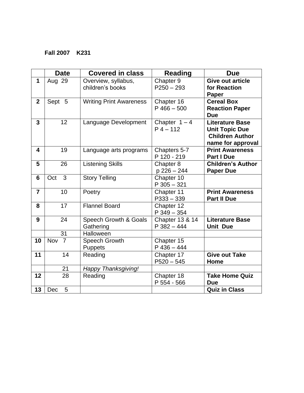# **Fall 2007 K231**

|                | <b>Date</b>      | <b>Covered in class</b>        | <b>Reading</b>            | <b>Due</b>               |
|----------------|------------------|--------------------------------|---------------------------|--------------------------|
| $\mathbf 1$    | Aug 29           | Overview, syllabus,            | Chapter 9                 | <b>Give out article</b>  |
|                |                  | children's books               | $P250 - 293$              | for Reaction             |
|                |                  |                                |                           | <b>Paper</b>             |
| $\overline{2}$ | Sept 5           | <b>Writing Print Awareness</b> | Chapter 16                | <b>Cereal Box</b>        |
|                |                  |                                | $P$ 466 $-$ 500           | <b>Reaction Paper</b>    |
|                |                  |                                |                           | <b>Due</b>               |
| 3              | 12               | Language Development           | Chapter $1 - 4$           | <b>Literature Base</b>   |
|                |                  |                                | $P_4 - 112$               | <b>Unit Topic Due</b>    |
|                |                  |                                |                           | <b>Children Author</b>   |
|                |                  |                                |                           | name for approval        |
| 4              | 19               | Language arts programs         | Chapters 5-7              | <b>Print Awareness</b>   |
| 5              | 26               |                                | P 120 - 219               | <b>Part I Due</b>        |
|                |                  | <b>Listening Skills</b>        | Chapter 8                 | <b>Children's Author</b> |
| 6              | 3<br>Oct         |                                | p 226 - 244<br>Chapter 10 | <b>Paper Due</b>         |
|                |                  | <b>Story Telling</b>           | $P$ 305 - 321             |                          |
| $\overline{7}$ | 10               | Poetry                         | Chapter 11                | <b>Print Awareness</b>   |
|                |                  |                                | $P333 - 339$              | <b>Part II Due</b>       |
| 8              | 17               | <b>Flannel Board</b>           | Chapter 12                |                          |
|                |                  |                                | $P$ 349 - 354             |                          |
| 9              | 24               | Speech Growth & Goals          | Chapter 13 & 14           | <b>Literature Base</b>   |
|                |                  | Gathering                      | $P$ 382 - 444             | <b>Unit Due</b>          |
|                | 31               | Halloween                      |                           |                          |
| 10             | Nov <sub>7</sub> | <b>Speech Growth</b>           | Chapter 15                |                          |
|                |                  | <b>Puppets</b>                 | $P$ 436 - 444             |                          |
| 11             | 14               | Reading                        | Chapter 17                | <b>Give out Take</b>     |
|                |                  |                                | $P520 - 545$              | Home                     |
|                | 21               | Happy Thanksgiving!            |                           |                          |
| 12             | 28               | Reading                        | Chapter 18                | <b>Take Home Quiz</b>    |
|                |                  |                                | P 554 - 566               | <b>Due</b>               |
| 13             | Dec<br>5         |                                |                           | <b>Quiz in Class</b>     |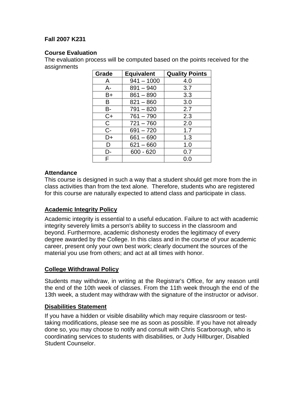# **Fall 2007 K231**

#### **Course Evaluation**

The evaluation process will be computed based on the points received for the assignments

| Grade | <b>Equivalent</b> | <b>Quality Points</b> |
|-------|-------------------|-----------------------|
| A     | $941 - 1000$      | 4.0                   |
| A-    | $891 - 940$       | 3.7                   |
| B+    | $861 - 890$       | 3.3                   |
| B     | $821 - 860$       | 3.0                   |
| B-    | $791 - 820$       | 2.7                   |
| C+    | $761 - 790$       | 2.3                   |
| C.    | $721 - 760$       | 2.0                   |
| $C -$ | $691 - 720$       | 1.7                   |
| D+    | $661 - 690$       | 1.3                   |
| D     | $621 - 660$       | 1.0                   |
| D-    | $600 - 620$       | 0.7                   |
| F     |                   | 0.0                   |

#### **Attendance**

This course is designed in such a way that a student should get more from the in class activities than from the text alone. Therefore, students who are registered for this course are naturally expected to attend class and participate in class.

## **Academic Integrity Policy**

Academic integrity is essential to a useful education. Failure to act with academic integrity severely limits a person's ability to success in the classroom and beyond. Furthermore, academic dishonesty erodes the legitimacy of every degree awarded by the College. In this class and in the course of your academic career, present only your own best work; clearly document the sources of the material you use from others; and act at all times with honor.

## **College Withdrawal Policy**

Students may withdraw, in writing at the Registrar's Office, for any reason until the end of the 10th week of classes. From the 11th week through the end of the 13th week, a student may withdraw with the signature of the instructor or advisor.

## **Disabilities Statement**

If you have a hidden or visible disability which may require classroom or testtaking modifications, please see me as soon as possible. If you have not already done so, you may choose to notify and consult with Chris Scarborough, who is coordinating services to students with disabilities, or Judy Hillburger, Disabled Student Counselor.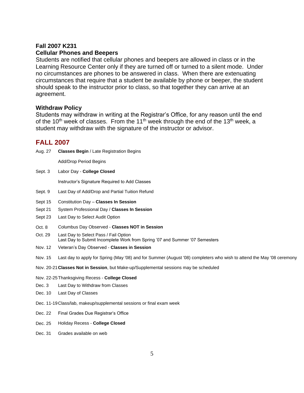#### **Fall 2007 K231**

#### **Cellular Phones and Beepers**

Students are notified that cellular phones and beepers are allowed in class or in the Learning Resource Center only if they are turned off or turned to a silent mode. Under no circumstances are phones to be answered in class. When there are extenuating circumstances that require that a student be available by phone or beeper, the student should speak to the instructor prior to class, so that together they can arrive at an agreement.

#### **Withdraw Policy**

Students may withdraw in writing at the Registrar's Office, for any reason until the end of the 10<sup>th</sup> week of classes. From the 11<sup>th</sup> week through the end of the 13<sup>th</sup> week, a student may withdraw with the signature of the instructor or advisor.

## **FALL 2007**

Aug. 27 **Classes Begin** / Late Registration Begins

Add/Drop Period Begins

Sept. 3 Labor Day - **College Closed**

Instructor's Signature Required to Add Classes

- Sept. 9 Last Day of Add/Drop and Partial Tuition Refund
- Sept 15 Constitution Day **Classes In Session**
- Sept 21 System Professional Day / **Classes In Session**
- Sept 23 Last Day to Select Audit Option
- Oct. 8 Columbus Day Observed **Classes NOT in Session**
- Oct. 29 Last Day to Select Pass / Fail Option Last Day to Submit Incomplete Work from Spring '07 and Summer '07 Semesters
- Nov. 12 Veteran's Day Observed **Classes in Session**

Nov. 15 Last day to apply for Spring (May '08) and for Summer (August '08) completers who wish to attend the May '08 ceremony

Nov. 20-21**Classes Not in Session**, but Make-up/Supplemental sessions may be scheduled

#### Nov. 22-25Thanksgiving Recess - **College Closed**

- Dec. 3 Last Day to Withdraw from Classes
- Dec. 10 Last Day of Classes
- Dec. 11-19Class/lab, makeup/supplemental sessions or final exam week
- Dec. 22 Final Grades Due Registrar's Office
- Dec. 25 Holiday Recess **College Closed**
- Dec. 31 Grades available on web